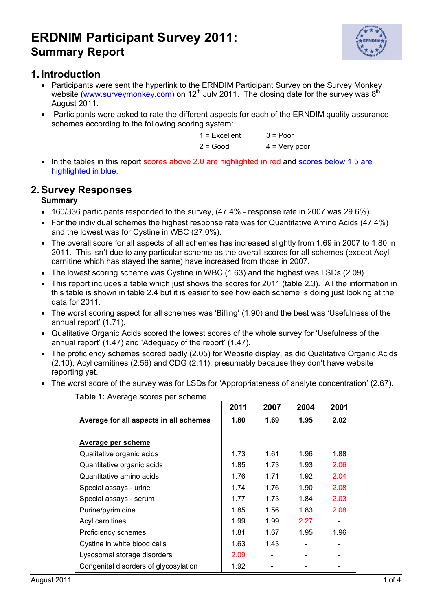

### **1. Introduction**

- Participants were sent the hyperlink to the ERNDIM Participant Survey on the Survey Monkey website (www.surveymonkey.com) on 12<sup>th</sup> July 2011. The closing date for the survey was  $8<sup>th</sup>$ August 2011.
- Participants were asked to rate the different aspects for each of the ERNDIM quality assurance schemes according to the following scoring system:

| $1 =$ Excellent | $3 =$ Poor      |
|-----------------|-----------------|
| $2 = Good$      | $4 = Very poor$ |

• In the tables in this report scores above 2.0 are highlighted in red and scores below 1.5 are highlighted in blue.

### **2. Survey Responses**

#### **Summary**

- 160/336 participants responded to the survey, (47.4% response rate in 2007 was 29.6%).
- For the individual schemes the highest response rate was for Quantitative Amino Acids (47.4%) and the lowest was for Cystine in WBC (27.0%).
- The overall score for all aspects of all schemes has increased slightly from 1.69 in 2007 to 1.80 in 2011. This isn't due to any particular scheme as the overall scores for all schemes (except Acyl carnitine which has stayed the same) have increased from those in 2007.
- The lowest scoring scheme was Cystine in WBC (1.63) and the highest was LSDs (2.09).
- This report includes a table which just shows the scores for 2011 (table 2.3). All the information in this table is shown in table 2.4 but it is easier to see how each scheme is doing just looking at the data for 2011.
- The worst scoring aspect for all schemes was 'Billing' (1.90) and the best was 'Usefulness of the annual report' (1.71).
- Qualitative Organic Acids scored the lowest scores of the whole survey for 'Usefulness of the annual report' (1.47) and 'Adequacy of the report' (1.47).
- The proficiency schemes scored badly (2.05) for Website display, as did Qualitative Organic Acids (2.10), Acyl carnitines (2.56) and CDG (2.11), presumably because they don't have website reporting yet.
- The worst score of the survey was for LSDs for 'Appropriateness of analyte concentration' (2.67).

|                                        | 2011 | 2007 | 2004 | 2001                         |
|----------------------------------------|------|------|------|------------------------------|
| Average for all aspects in all schemes | 1.80 | 1.69 | 1.95 | 2.02                         |
|                                        |      |      |      |                              |
| <b>Average per scheme</b>              |      |      |      |                              |
| Qualitative organic acids              | 1.73 | 1.61 | 1.96 | 1.88                         |
| Quantitative organic acids             | 1.85 | 1.73 | 1.93 | 2.06                         |
| Quantitative amino acids               | 1.76 | 1.71 | 1.92 | 2.04                         |
| Special assays - urine                 | 1.74 | 1.76 | 1.90 | 2.08                         |
| Special assays - serum                 | 1.77 | 1.73 | 1.84 | 2.03                         |
| Purine/pyrimidine                      | 1.85 | 1.56 | 1.83 | 2.08                         |
| Acyl carnitines                        | 1.99 | 1.99 | 2.27 | $\qquad \qquad \blacksquare$ |
| Proficiency schemes                    | 1.81 | 1.67 | 1.95 | 1.96                         |
| Cystine in white blood cells           | 1.63 | 1.43 | -    | -                            |
| Lysosomal storage disorders            | 2.09 |      |      |                              |
| Congenital disorders of glycosylation  | 1.92 |      |      |                              |

**Table 1:** Average scores per scheme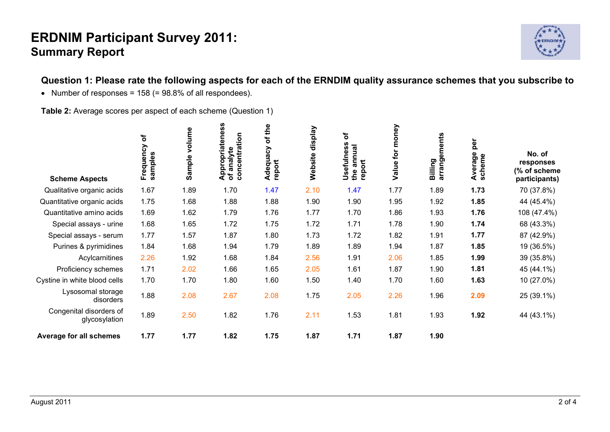

## **Question 1: Please rate the following aspects for each of the ERNDIM quality assurance schemes that you subscribe to**

• Number of responses =  $158$  (=  $98.8\%$  of all respondees).

**Table 2:** Average scores per aspect of each scheme (Question 1)

| <b>Scheme Aspects</b>                    | ð<br>Frequency<br>samples | volume<br>Sample | <b>U</b><br>Appropriateness<br>of analyte<br>δ<br>concentrati | of the<br>Adequacy<br>report | display<br>Website | $\mathbf{b}$<br>Usefulness<br>annual<br>report<br>the | for money<br>Value | arrangements<br>Billing | per<br>verage<br>Average<br>scheme | No. of<br>responses<br>(% of scheme<br>participants) |
|------------------------------------------|---------------------------|------------------|---------------------------------------------------------------|------------------------------|--------------------|-------------------------------------------------------|--------------------|-------------------------|------------------------------------|------------------------------------------------------|
| Qualitative organic acids                | 1.67                      | 1.89             | 1.70                                                          | 1.47                         | 2.10               | 1.47                                                  | 1.77               | 1.89                    | 1.73                               | 70 (37.8%)                                           |
| Quantitative organic acids               | 1.75                      | 1.68             | 1.88                                                          | 1.88                         | 1.90               | 1.90                                                  | 1.95               | 1.92                    | 1.85                               | 44 (45.4%)                                           |
| Quantitative amino acids                 | 1.69                      | 1.62             | 1.79                                                          | 1.76                         | 1.77               | 1.70                                                  | 1.86               | 1.93                    | 1.76                               | 108 (47.4%)                                          |
| Special assays - urine                   | 1.68                      | 1.65             | 1.72                                                          | 1.75                         | 1.72               | 1.71                                                  | 1.78               | 1.90                    | 1.74                               | 68 (43.3%)                                           |
| Special assays - serum                   | 1.77                      | 1.57             | 1.87                                                          | 1.80                         | 1.73               | 1.72                                                  | 1.82               | 1.91                    | 1.77                               | 87 (42.9%)                                           |
| Purines & pyrimidines                    | 1.84                      | 1.68             | 1.94                                                          | 1.79                         | 1.89               | 1.89                                                  | 1.94               | 1.87                    | 1.85                               | 19 (36.5%)                                           |
| Acylcarnitines                           | 2.26                      | 1.92             | 1.68                                                          | 1.84                         | 2.56               | 1.91                                                  | 2.06               | 1.85                    | 1.99                               | 39 (35.8%)                                           |
| Proficiency schemes                      | 1.71                      | 2.02             | 1.66                                                          | 1.65                         | 2.05               | 1.61                                                  | 1.87               | 1.90                    | 1.81                               | 45 (44.1%)                                           |
| Cystine in white blood cells             | 1.70                      | 1.70             | 1.80                                                          | 1.60                         | 1.50               | 1.40                                                  | 1.70               | 1.60                    | 1.63                               | 10 (27.0%)                                           |
| Lysosomal storage<br>disorders           | 1.88                      | 2.08             | 2.67                                                          | 2.08                         | 1.75               | 2.05                                                  | 2.26               | 1.96                    | 2.09                               | 25 (39.1%)                                           |
| Congenital disorders of<br>glycosylation | 1.89                      | 2.50             | 1.82                                                          | 1.76                         | 2.11               | 1.53                                                  | 1.81               | 1.93                    | 1.92                               | 44 (43.1%)                                           |
| <b>Average for all schemes</b>           | 1.77                      | 1.77             | 1.82                                                          | 1.75                         | 1.87               | 1.71                                                  | 1.87               | 1.90                    |                                    |                                                      |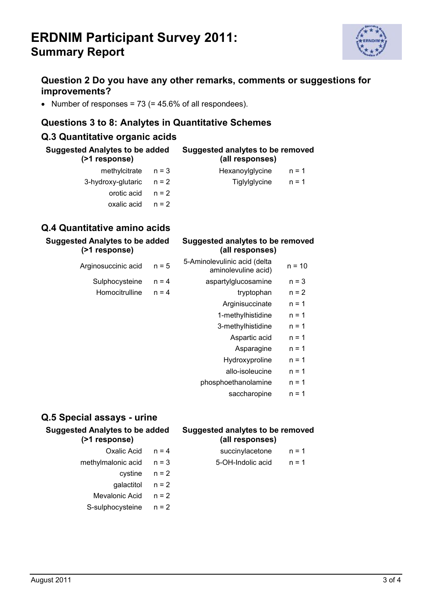

#### **Question 2 Do you have any other remarks, comments or suggestions for improvements?**

• Number of responses =  $73$  (=  $45.6\%$  of all respondees).

#### **Questions 3 to 8: Analytes in Quantitative Schemes**

### **Q.3 Quantitative organic acids**

| <b>Suggested Analytes to be added</b><br>(>1 response) |         | Suggested analytes to be removed<br>(all responses) |         |  |
|--------------------------------------------------------|---------|-----------------------------------------------------|---------|--|
| methylcitrate                                          | $n = 3$ | Hexanoylglycine                                     | $n = 1$ |  |
| 3-hydroxy-glutaric                                     | $n = 2$ | <b>Tiglylglycine</b>                                | $n = 1$ |  |
| orotic acid                                            | $n = 2$ |                                                     |         |  |
| oxalic acid                                            | $n = 2$ |                                                     |         |  |
|                                                        |         |                                                     |         |  |

#### **Q.4 Quantitative amino acids**

| <b>Suggested Analytes to be added</b><br>(>1 response) |         | Suggested analytes to be removed<br>(all responses) |          |  |
|--------------------------------------------------------|---------|-----------------------------------------------------|----------|--|
| Arginosuccinic acid                                    | $n = 5$ | 5-Aminolevulinic acid (delta<br>aminolevuline acid) | $n = 10$ |  |
| Sulphocysteine                                         | $n = 4$ | aspartylglucosamine                                 | $n = 3$  |  |
| Homocitrulline                                         | $n = 4$ | tryptophan                                          | $n = 2$  |  |
|                                                        |         | Arginisuccinate                                     | $n = 1$  |  |
|                                                        |         | 1-methylhistidine                                   | $n = 1$  |  |
|                                                        |         | 3-methylhistidine                                   | $n = 1$  |  |
|                                                        |         | Aspartic acid                                       | $n = 1$  |  |

#### Asparagine n = 1

- Hydroxyproline  $n = 1$
- allo-isoleucine  $n = 1$
- phosphoethanolamine  $n = 1$ 
	- saccharopine  $n = 1$

### **Q.5 Special assays - urine**

**Suggested Analytes to be added (>1 response)**

#### **Suggested analytes to be removed (all responses)**

- Oxalic Acid  $n = 4$  succinylacetone  $n = 1$
- methylmalonic acid  $n = 3$  5-OH-Indolic acid  $n = 1$
- - cystine  $n = 2$ 
		- qalactitol  $n = 2$
	- Mevalonic Acid  $n = 2$
	- S-sulphocysteine n = 2